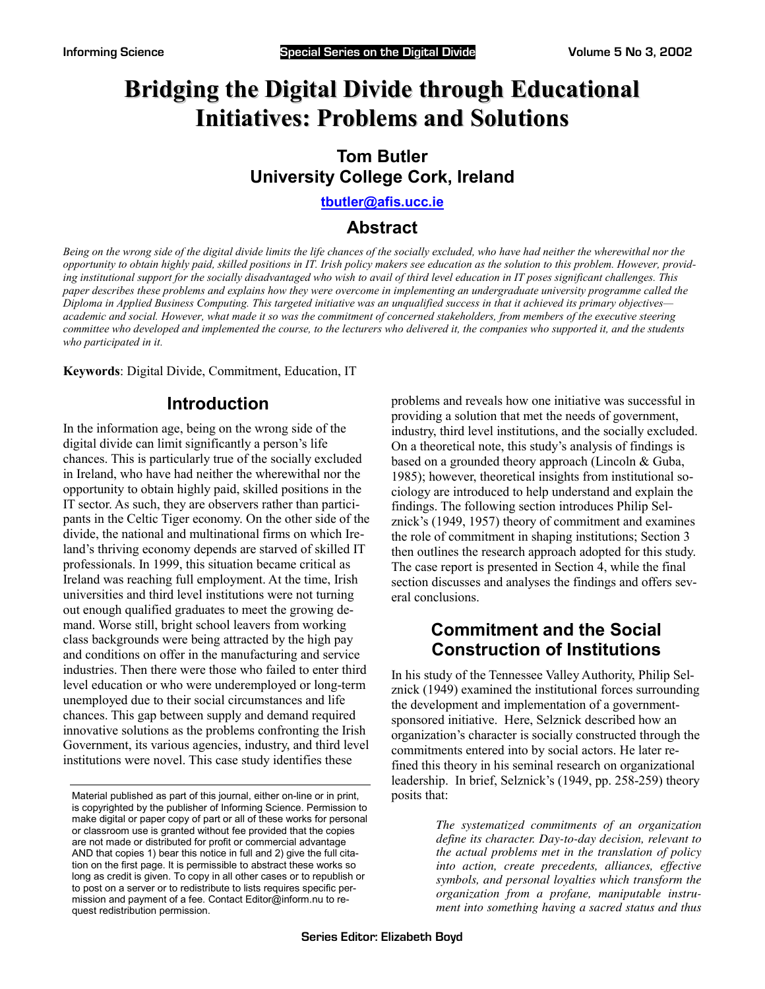# **Bridging the Digital Divide through Educational Initiatives: Problems and Solutions**

# **Tom Butler University College Cork, Ireland**

**[tbutler@afis.ucc.ie](mailto:tbutler@afis.ucc.ie)** 

# **Abstract**

*Being on the wrong side of the digital divide limits the life chances of the socially excluded, who have had neither the wherewithal nor the opportunity to obtain highly paid, skilled positions in IT. Irish policy makers see education as the solution to this problem. However, providing institutional support for the socially disadvantaged who wish to avail of third level education in IT poses significant challenges. This paper describes these problems and explains how they were overcome in implementing an undergraduate university programme called the Diploma in Applied Business Computing. This targeted initiative was an unqualified success in that it achieved its primary objectives academic and social. However, what made it so was the commitment of concerned stakeholders, from members of the executive steering committee who developed and implemented the course, to the lecturers who delivered it, the companies who supported it, and the students who participated in it.* 

**Keywords**: Digital Divide, Commitment, Education, IT

# **Introduction**

In the information age, being on the wrong side of the digital divide can limit significantly a person's life chances. This is particularly true of the socially excluded in Ireland, who have had neither the wherewithal nor the opportunity to obtain highly paid, skilled positions in the IT sector. As such, they are observers rather than participants in the Celtic Tiger economy. On the other side of the divide, the national and multinational firms on which Ireland's thriving economy depends are starved of skilled IT professionals. In 1999, this situation became critical as Ireland was reaching full employment. At the time, Irish universities and third level institutions were not turning out enough qualified graduates to meet the growing demand. Worse still, bright school leavers from working class backgrounds were being attracted by the high pay and conditions on offer in the manufacturing and service industries. Then there were those who failed to enter third level education or who were underemployed or long-term unemployed due to their social circumstances and life chances. This gap between supply and demand required innovative solutions as the problems confronting the Irish Government, its various agencies, industry, and third level institutions were novel. This case study identifies these

problems and reveals how one initiative was successful in providing a solution that met the needs of government, industry, third level institutions, and the socially excluded. On a theoretical note, this study's analysis of findings is based on a grounded theory approach (Lincoln & Guba, 1985); however, theoretical insights from institutional sociology are introduced to help understand and explain the findings. The following section introduces Philip Selznick's (1949, 1957) theory of commitment and examines the role of commitment in shaping institutions; Section 3 then outlines the research approach adopted for this study. The case report is presented in Section 4, while the final section discusses and analyses the findings and offers several conclusions.

# **Commitment and the Social Construction of Institutions**

In his study of the Tennessee Valley Authority, Philip Selznick (1949) examined the institutional forces surrounding the development and implementation of a governmentsponsored initiative. Here, Selznick described how an organization's character is socially constructed through the commitments entered into by social actors. He later refined this theory in his seminal research on organizational leadership. In brief, Selznick's (1949, pp. 258-259) theory posits that:

> *The systematized commitments of an organization define its character. Day-to-day decision, relevant to the actual problems met in the translation of policy into action, create precedents, alliances, effective symbols, and personal loyalties which transform the organization from a profane, maniputable instrument into something having a sacred status and thus*

Material published as part of this journal, either on-line or in print, is copyrighted by the publisher of Informing Science. Permission to make digital or paper copy of part or all of these works for personal or classroom use is granted without fee provided that the copies are not made or distributed for profit or commercial advantage AND that copies 1) bear this notice in full and 2) give the full citation on the first page. It is permissible to abstract these works so long as credit is given. To copy in all other cases or to republish or to post on a server or to redistribute to lists requires specific permission and payment of a fee. Contact Editor@inform.nu to request redistribution permission.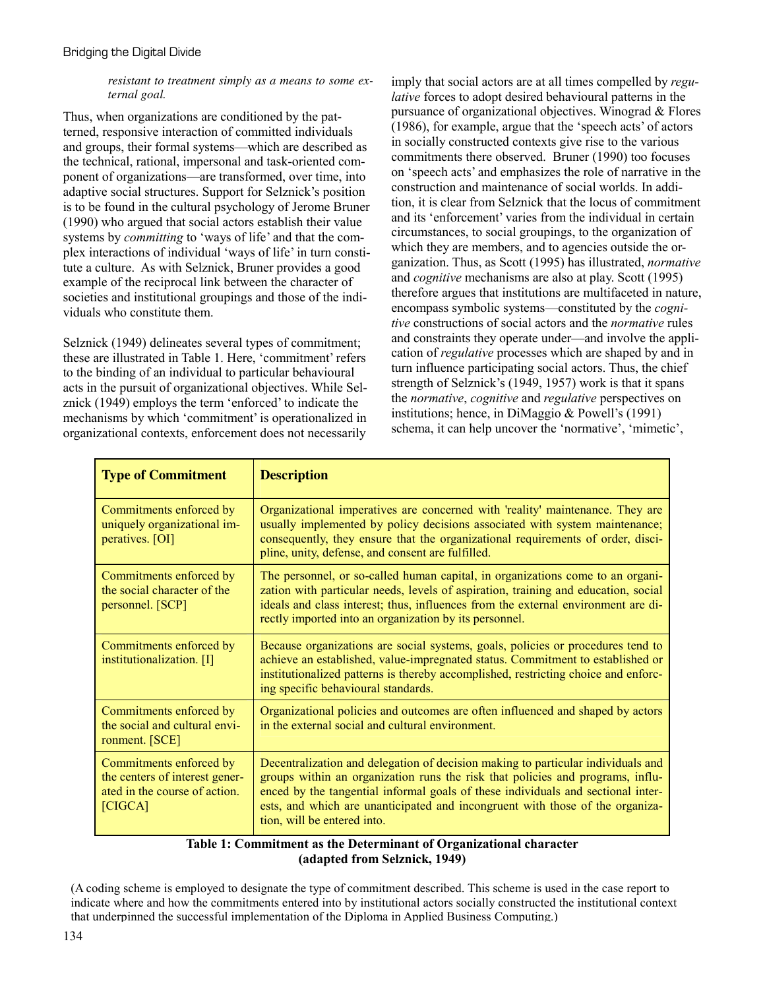*resistant to treatment simply as a means to some external goal.* 

Thus, when organizations are conditioned by the patterned, responsive interaction of committed individuals and groups, their formal systems—which are described as the technical, rational, impersonal and task-oriented component of organizations—are transformed, over time, into adaptive social structures. Support for Selznick's position is to be found in the cultural psychology of Jerome Bruner (1990) who argued that social actors establish their value systems by *committing* to 'ways of life' and that the complex interactions of individual 'ways of life' in turn constitute a culture. As with Selznick, Bruner provides a good example of the reciprocal link between the character of societies and institutional groupings and those of the individuals who constitute them.

Selznick (1949) delineates several types of commitment; these are illustrated in Table 1. Here, 'commitment' refers to the binding of an individual to particular behavioural acts in the pursuit of organizational objectives. While Selznick (1949) employs the term 'enforced' to indicate the mechanisms by which 'commitment' is operationalized in organizational contexts, enforcement does not necessarily

imply that social actors are at all times compelled by *regulative* forces to adopt desired behavioural patterns in the pursuance of organizational objectives. Winograd & Flores (1986), for example, argue that the 'speech acts' of actors in socially constructed contexts give rise to the various commitments there observed. Bruner (1990) too focuses on 'speech acts' and emphasizes the role of narrative in the construction and maintenance of social worlds. In addition, it is clear from Selznick that the locus of commitment and its 'enforcement' varies from the individual in certain circumstances, to social groupings, to the organization of which they are members, and to agencies outside the organization. Thus, as Scott (1995) has illustrated, *normative* and *cognitive* mechanisms are also at play. Scott (1995) therefore argues that institutions are multifaceted in nature, encompass symbolic systems—constituted by the *cognitive* constructions of social actors and the *normative* rules and constraints they operate under—and involve the application of *regulative* processes which are shaped by and in turn influence participating social actors. Thus, the chief strength of Selznick's (1949, 1957) work is that it spans the *normative*, *cognitive* and *regulative* perspectives on institutions; hence, in DiMaggio & Powell's (1991) schema, it can help uncover the 'normative', 'mimetic',

| <b>Type of Commitment</b>                                                                             | <b>Description</b>                                                                                                                                                                                                                                                                                                                                                     |
|-------------------------------------------------------------------------------------------------------|------------------------------------------------------------------------------------------------------------------------------------------------------------------------------------------------------------------------------------------------------------------------------------------------------------------------------------------------------------------------|
| Commitments enforced by<br>uniquely organizational im-<br>peratives. [OI]                             | Organizational imperatives are concerned with 'reality' maintenance. They are<br>usually implemented by policy decisions associated with system maintenance;<br>consequently, they ensure that the organizational requirements of order, disci-<br>pline, unity, defense, and consent are fulfilled.                                                                   |
| Commitments enforced by<br>the social character of the<br>personnel. [SCP]                            | The personnel, or so-called human capital, in organizations come to an organi-<br>zation with particular needs, levels of aspiration, training and education, social<br>ideals and class interest; thus, influences from the external environment are di-<br>rectly imported into an organization by its personnel.                                                    |
| Commitments enforced by<br>institutionalization. [I]                                                  | Because organizations are social systems, goals, policies or procedures tend to<br>achieve an established, value-impregnated status. Commitment to established or<br>institutionalized patterns is thereby accomplished, restricting choice and enforc-<br>ing specific behavioural standards.                                                                         |
| Commitments enforced by<br>the social and cultural envi-<br>ronment. [SCE]                            | Organizational policies and outcomes are often influenced and shaped by actors<br>in the external social and cultural environment.                                                                                                                                                                                                                                     |
| Commitments enforced by<br>the centers of interest gener-<br>ated in the course of action.<br>[CIGCA] | Decentralization and delegation of decision making to particular individuals and<br>groups within an organization runs the risk that policies and programs, influ-<br>enced by the tangential informal goals of these individuals and sectional inter-<br>ests, and which are unanticipated and incongruent with those of the organiza-<br>tion, will be entered into. |

#### **Table 1: Commitment as the Determinant of Organizational character (adapted from Selznick, 1949)**

(A coding scheme is employed to designate the type of commitment described. This scheme is used in the case report to indicate where and how the commitments entered into by institutional actors socially constructed the institutional context that underpinned the successful implementation of the Diploma in Applied Business Computing.)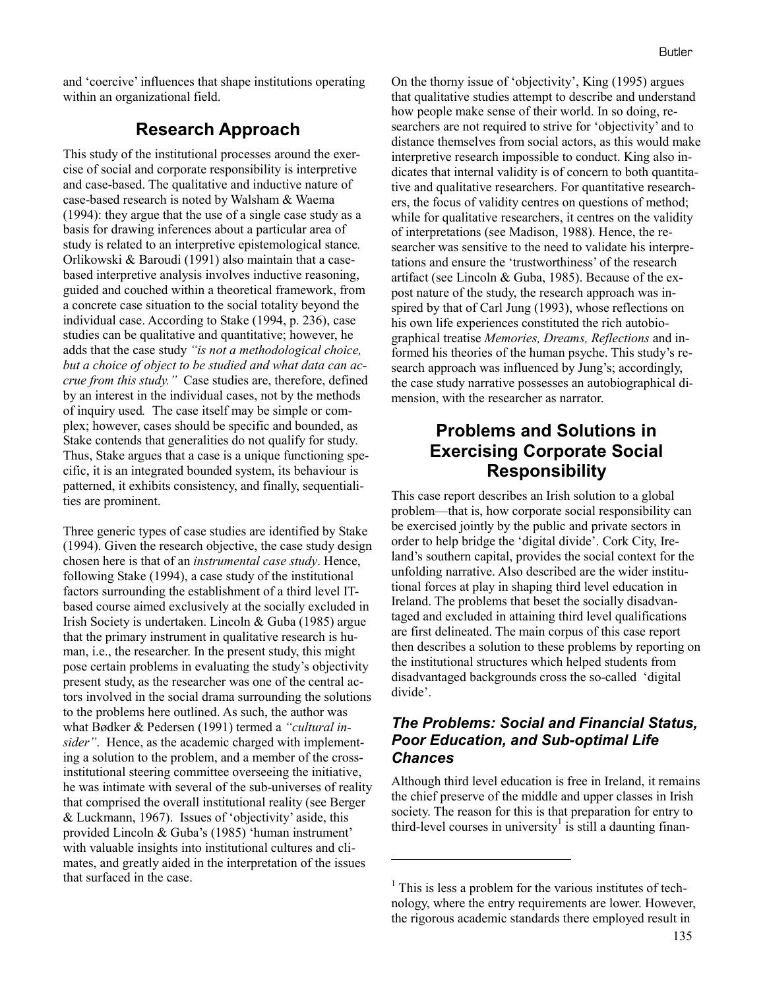and 'coercive' influences that shape institutions operating within an organizational field.

## **Research Approach**

This study of the institutional processes around the exercise of social and corporate responsibility is interpretive and case-based. The qualitative and inductive nature of case-based research is noted by Walsham & Waema (1994): they argue that the use of a single case study as a basis for drawing inferences about a particular area of study is related to an interpretive epistemological stance*.*  Orlikowski & Baroudi (1991) also maintain that a casebased interpretive analysis involves inductive reasoning, guided and couched within a theoretical framework, from a concrete case situation to the social totality beyond the individual case. According to Stake (1994, p. 236), case studies can be qualitative and quantitative; however, he adds that the case study *"is not a methodological choice, but a choice of object to be studied and what data can accrue from this study."* Case studies are, therefore, defined by an interest in the individual cases, not by the methods of inquiry used*.* The case itself may be simple or complex; however, cases should be specific and bounded, as Stake contends that generalities do not qualify for study*.*  Thus, Stake argues that a case is a unique functioning specific, it is an integrated bounded system, its behaviour is patterned, it exhibits consistency, and finally, sequentialities are prominent.

Three generic types of case studies are identified by Stake (1994). Given the research objective, the case study design chosen here is that of an *instrumental case study*. Hence, following Stake (1994), a case study of the institutional factors surrounding the establishment of a third level ITbased course aimed exclusively at the socially excluded in Irish Society is undertaken. Lincoln & Guba (1985) argue that the primary instrument in qualitative research is human, i.e., the researcher. In the present study, this might pose certain problems in evaluating the study's objectivity present study, as the researcher was one of the central actors involved in the social drama surrounding the solutions to the problems here outlined. As such, the author was what Bødker & Pedersen (1991) termed a *"cultural insider"*. Hence, as the academic charged with implementing a solution to the problem, and a member of the crossinstitutional steering committee overseeing the initiative, he was intimate with several of the sub-universes of reality that comprised the overall institutional reality (see Berger & Luckmann, 1967). Issues of 'objectivity' aside, this provided Lincoln & Guba's (1985) 'human instrument' with valuable insights into institutional cultures and climates, and greatly aided in the interpretation of the issues that surfaced in the case.

On the thorny issue of 'objectivity', King (1995) argues that qualitative studies attempt to describe and understand how people make sense of their world. In so doing, researchers are not required to strive for 'objectivity' and to distance themselves from social actors, as this would make interpretive research impossible to conduct. King also indicates that internal validity is of concern to both quantitative and qualitative researchers. For quantitative researchers, the focus of validity centres on questions of method; while for qualitative researchers, it centres on the validity of interpretations (see Madison, 1988). Hence, the researcher was sensitive to the need to validate his interpretations and ensure the 'trustworthiness' of the research artifact (see Lincoln & Guba, 1985). Because of the expost nature of the study, the research approach was inspired by that of Carl Jung (1993), whose reflections on his own life experiences constituted the rich autobiographical treatise *Memories, Dreams, Reflections* and informed his theories of the human psyche. This study's research approach was influenced by Jung's; accordingly, the case study narrative possesses an autobiographical dimension, with the researcher as narrator.

# **Problems and Solutions in Exercising Corporate Social Responsibility**

This case report describes an Irish solution to a global problem—that is, how corporate social responsibility can be exercised jointly by the public and private sectors in order to help bridge the 'digital divide'. Cork City, Ireland's southern capital, provides the social context for the unfolding narrative. Also described are the wider institutional forces at play in shaping third level education in Ireland. The problems that beset the socially disadvantaged and excluded in attaining third level qualifications are first delineated. The main corpus of this case report then describes a solution to these problems by reporting on the institutional structures which helped students from disadvantaged backgrounds cross the so-called 'digital divide'.

#### *The Problems: Social and Financial Status, Poor Education, and Sub-optimal Life Chances*

Although third level education is free in Ireland, it remains the chief preserve of the middle and upper classes in Irish society. The reason for this is that preparation for entry to third-level courses in university<sup>1</sup> is still a daunting finan-

 $\overline{a}$ 

 $<sup>1</sup>$  This is less a problem for the various institutes of tech-</sup> nology, where the entry requirements are lower. However, the rigorous academic standards there employed result in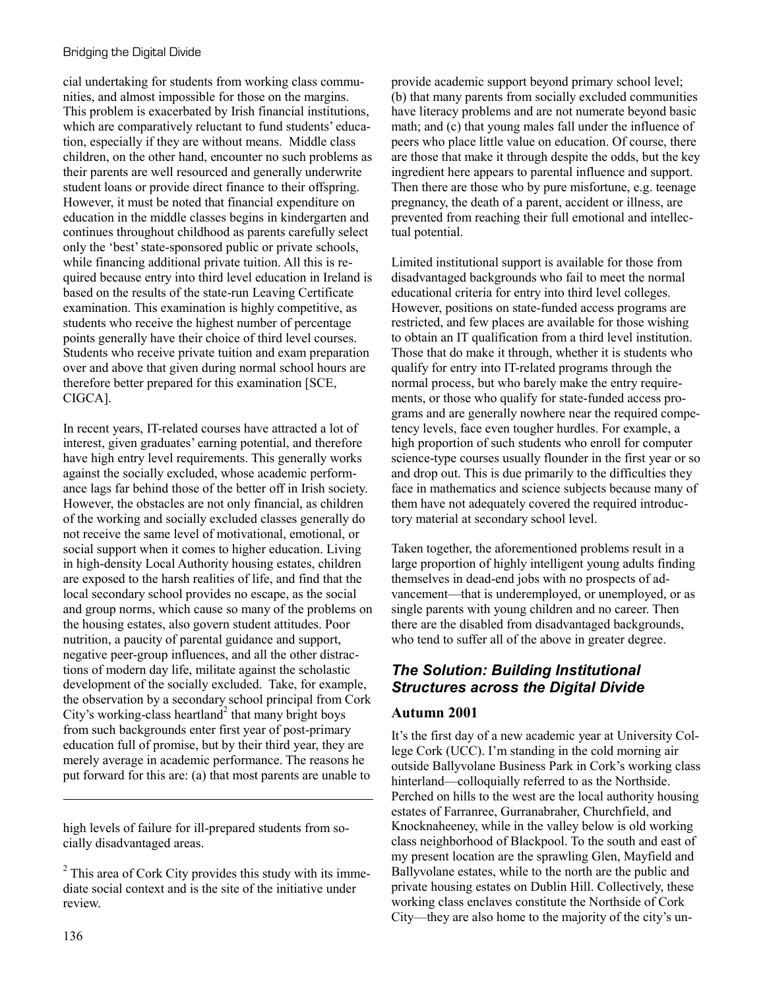cial undertaking for students from working class communities, and almost impossible for those on the margins. This problem is exacerbated by Irish financial institutions, which are comparatively reluctant to fund students' education, especially if they are without means. Middle class children, on the other hand, encounter no such problems as their parents are well resourced and generally underwrite student loans or provide direct finance to their offspring. However, it must be noted that financial expenditure on education in the middle classes begins in kindergarten and continues throughout childhood as parents carefully select only the 'best' state-sponsored public or private schools, while financing additional private tuition. All this is required because entry into third level education in Ireland is based on the results of the state-run Leaving Certificate examination. This examination is highly competitive, as students who receive the highest number of percentage points generally have their choice of third level courses. Students who receive private tuition and exam preparation over and above that given during normal school hours are therefore better prepared for this examination [SCE, CIGCA].

In recent years, IT-related courses have attracted a lot of interest, given graduates' earning potential, and therefore have high entry level requirements. This generally works against the socially excluded, whose academic performance lags far behind those of the better off in Irish society. However, the obstacles are not only financial, as children of the working and socially excluded classes generally do not receive the same level of motivational, emotional, or social support when it comes to higher education. Living in high-density Local Authority housing estates, children are exposed to the harsh realities of life, and find that the local secondary school provides no escape, as the social and group norms, which cause so many of the problems on the housing estates, also govern student attitudes. Poor nutrition, a paucity of parental guidance and support, negative peer-group influences, and all the other distractions of modern day life, militate against the scholastic development of the socially excluded. Take, for example, the observation by a secondary school principal from Cork City's working-class heartland<sup>2</sup> that many bright boys from such backgrounds enter first year of post-primary education full of promise, but by their third year, they are merely average in academic performance. The reasons he put forward for this are: (a) that most parents are unable to

high levels of failure for ill-prepared students from socially disadvantaged areas.

136

l

provide academic support beyond primary school level; (b) that many parents from socially excluded communities have literacy problems and are not numerate beyond basic math; and (c) that young males fall under the influence of peers who place little value on education. Of course, there are those that make it through despite the odds, but the key ingredient here appears to parental influence and support. Then there are those who by pure misfortune, e.g. teenage pregnancy, the death of a parent, accident or illness, are prevented from reaching their full emotional and intellectual potential.

Limited institutional support is available for those from disadvantaged backgrounds who fail to meet the normal educational criteria for entry into third level colleges. However, positions on state-funded access programs are restricted, and few places are available for those wishing to obtain an IT qualification from a third level institution. Those that do make it through, whether it is students who qualify for entry into IT-related programs through the normal process, but who barely make the entry requirements, or those who qualify for state-funded access programs and are generally nowhere near the required competency levels, face even tougher hurdles. For example, a high proportion of such students who enroll for computer science-type courses usually flounder in the first year or so and drop out. This is due primarily to the difficulties they face in mathematics and science subjects because many of them have not adequately covered the required introductory material at secondary school level.

Taken together, the aforementioned problems result in a large proportion of highly intelligent young adults finding themselves in dead-end jobs with no prospects of advancement—that is underemployed, or unemployed, or as single parents with young children and no career. Then there are the disabled from disadvantaged backgrounds, who tend to suffer all of the above in greater degree.

# *The Solution: Building Institutional Structures across the Digital Divide*

### **Autumn 2001**

It's the first day of a new academic year at University College Cork (UCC). I'm standing in the cold morning air outside Ballyvolane Business Park in Cork's working class hinterland—colloquially referred to as the Northside. Perched on hills to the west are the local authority housing estates of Farranree, Gurranabraher, Churchfield, and Knocknaheeney, while in the valley below is old working class neighborhood of Blackpool. To the south and east of my present location are the sprawling Glen, Mayfield and Ballyvolane estates, while to the north are the public and private housing estates on Dublin Hill. Collectively, these working class enclaves constitute the Northside of Cork City—they are also home to the majority of the city's un-

 $2$  This area of Cork City provides this study with its immediate social context and is the site of the initiative under review.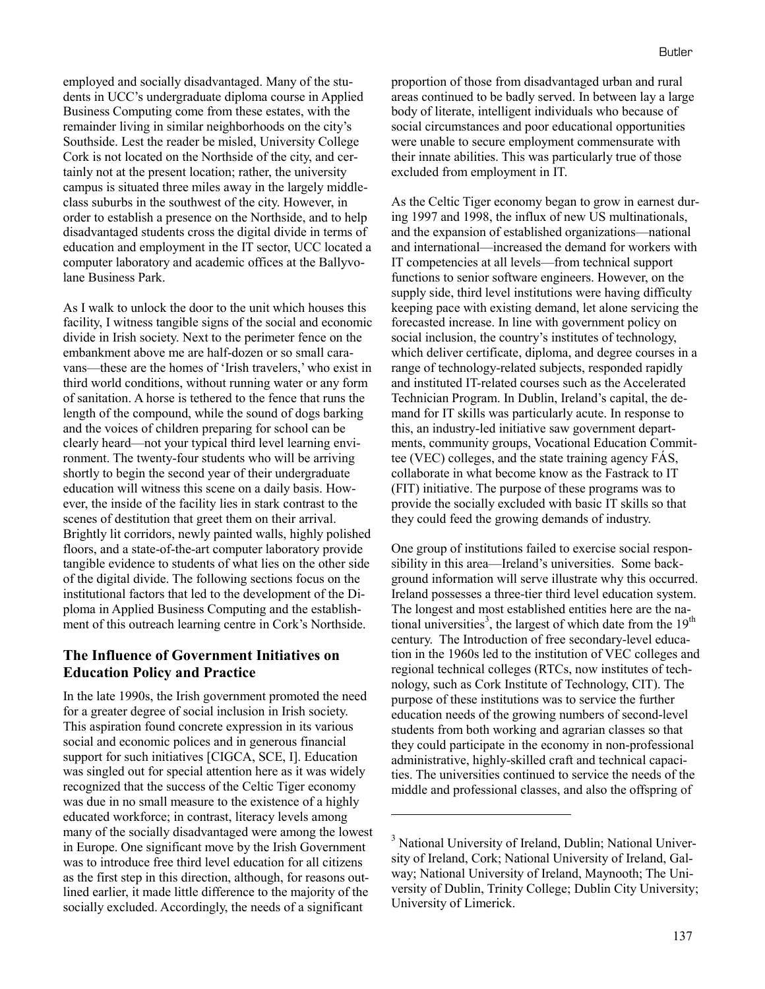employed and socially disadvantaged. Many of the students in UCC's undergraduate diploma course in Applied Business Computing come from these estates, with the remainder living in similar neighborhoods on the city's Southside. Lest the reader be misled, University College Cork is not located on the Northside of the city, and certainly not at the present location; rather, the university campus is situated three miles away in the largely middleclass suburbs in the southwest of the city. However, in order to establish a presence on the Northside, and to help disadvantaged students cross the digital divide in terms of education and employment in the IT sector, UCC located a computer laboratory and academic offices at the Ballyvolane Business Park.

As I walk to unlock the door to the unit which houses this facility, I witness tangible signs of the social and economic divide in Irish society. Next to the perimeter fence on the embankment above me are half-dozen or so small caravans—these are the homes of 'Irish travelers,' who exist in third world conditions, without running water or any form of sanitation. A horse is tethered to the fence that runs the length of the compound, while the sound of dogs barking and the voices of children preparing for school can be clearly heard—not your typical third level learning environment. The twenty-four students who will be arriving shortly to begin the second year of their undergraduate education will witness this scene on a daily basis. However, the inside of the facility lies in stark contrast to the scenes of destitution that greet them on their arrival. Brightly lit corridors, newly painted walls, highly polished floors, and a state-of-the-art computer laboratory provide tangible evidence to students of what lies on the other side of the digital divide. The following sections focus on the institutional factors that led to the development of the Diploma in Applied Business Computing and the establishment of this outreach learning centre in Cork's Northside.

#### **The Influence of Government Initiatives on Education Policy and Practice**

In the late 1990s, the Irish government promoted the need for a greater degree of social inclusion in Irish society. This aspiration found concrete expression in its various social and economic polices and in generous financial support for such initiatives [CIGCA, SCE, I]. Education was singled out for special attention here as it was widely recognized that the success of the Celtic Tiger economy was due in no small measure to the existence of a highly educated workforce; in contrast, literacy levels among many of the socially disadvantaged were among the lowest in Europe. One significant move by the Irish Government was to introduce free third level education for all citizens as the first step in this direction, although, for reasons outlined earlier, it made little difference to the majority of the socially excluded. Accordingly, the needs of a significant

proportion of those from disadvantaged urban and rural areas continued to be badly served. In between lay a large body of literate, intelligent individuals who because of social circumstances and poor educational opportunities were unable to secure employment commensurate with their innate abilities. This was particularly true of those excluded from employment in IT.

As the Celtic Tiger economy began to grow in earnest during 1997 and 1998, the influx of new US multinationals, and the expansion of established organizations—national and international—increased the demand for workers with IT competencies at all levels—from technical support functions to senior software engineers. However, on the supply side, third level institutions were having difficulty keeping pace with existing demand, let alone servicing the forecasted increase. In line with government policy on social inclusion, the country's institutes of technology, which deliver certificate, diploma, and degree courses in a range of technology-related subjects, responded rapidly and instituted IT-related courses such as the Accelerated Technician Program. In Dublin, Ireland's capital, the demand for IT skills was particularly acute. In response to this, an industry-led initiative saw government departments, community groups, Vocational Education Committee (VEC) colleges, and the state training agency FÁS, collaborate in what become know as the Fastrack to IT (FIT) initiative. The purpose of these programs was to provide the socially excluded with basic IT skills so that they could feed the growing demands of industry.

One group of institutions failed to exercise social responsibility in this area—Ireland's universities. Some background information will serve illustrate why this occurred. Ireland possesses a three-tier third level education system. The longest and most established entities here are the national universities<sup>3</sup>, the largest of which date from the  $19<sup>th</sup>$ century. The Introduction of free secondary-level education in the 1960s led to the institution of VEC colleges and regional technical colleges (RTCs, now institutes of technology, such as Cork Institute of Technology, CIT). The purpose of these institutions was to service the further education needs of the growing numbers of second-level students from both working and agrarian classes so that they could participate in the economy in non-professional administrative, highly-skilled craft and technical capacities. The universities continued to service the needs of the middle and professional classes, and also the offspring of

l

<sup>&</sup>lt;sup>3</sup> National University of Ireland, Dublin; National University of Ireland, Cork; National University of Ireland, Galway; National University of Ireland, Maynooth; The University of Dublin, Trinity College; Dublin City University; University of Limerick.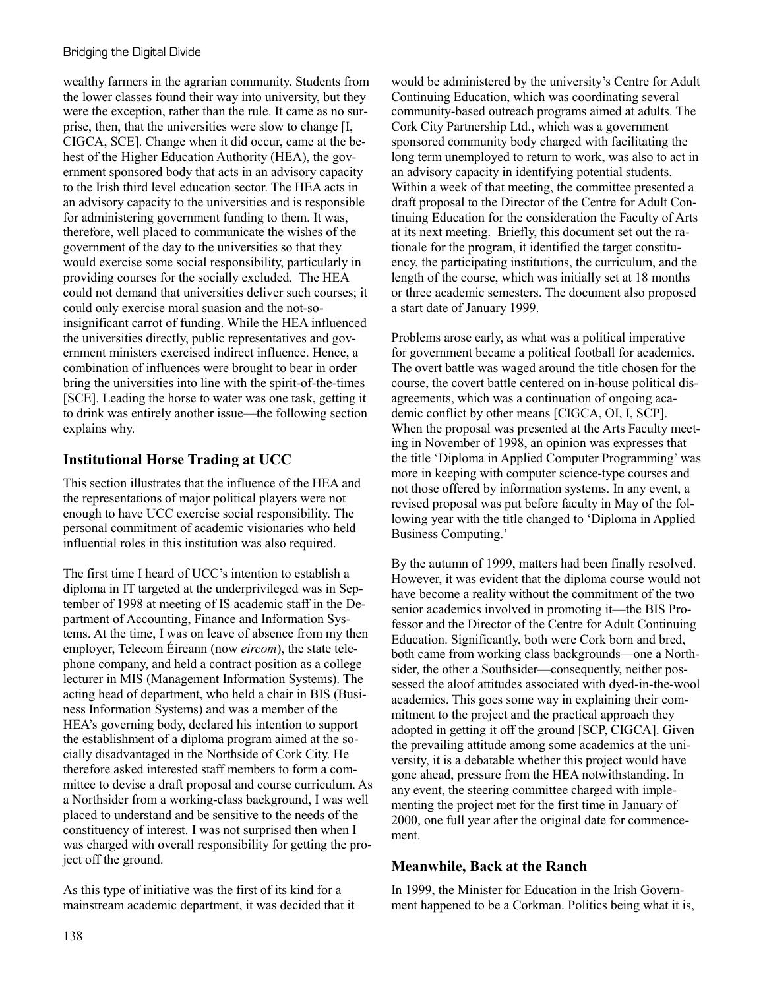wealthy farmers in the agrarian community. Students from the lower classes found their way into university, but they were the exception, rather than the rule. It came as no surprise, then, that the universities were slow to change [I, CIGCA, SCE]. Change when it did occur, came at the behest of the Higher Education Authority (HEA), the government sponsored body that acts in an advisory capacity to the Irish third level education sector. The HEA acts in an advisory capacity to the universities and is responsible for administering government funding to them. It was, therefore, well placed to communicate the wishes of the government of the day to the universities so that they would exercise some social responsibility, particularly in providing courses for the socially excluded. The HEA could not demand that universities deliver such courses; it could only exercise moral suasion and the not-soinsignificant carrot of funding. While the HEA influenced the universities directly, public representatives and government ministers exercised indirect influence. Hence, a combination of influences were brought to bear in order bring the universities into line with the spirit-of-the-times [SCE]. Leading the horse to water was one task, getting it to drink was entirely another issue—the following section explains why.

### **Institutional Horse Trading at UCC**

This section illustrates that the influence of the HEA and the representations of major political players were not enough to have UCC exercise social responsibility. The personal commitment of academic visionaries who held influential roles in this institution was also required.

The first time I heard of UCC's intention to establish a diploma in IT targeted at the underprivileged was in September of 1998 at meeting of IS academic staff in the Department of Accounting, Finance and Information Systems. At the time, I was on leave of absence from my then employer, Telecom Éireann (now *eircom*), the state telephone company, and held a contract position as a college lecturer in MIS (Management Information Systems). The acting head of department, who held a chair in BIS (Business Information Systems) and was a member of the HEA's governing body, declared his intention to support the establishment of a diploma program aimed at the socially disadvantaged in the Northside of Cork City. He therefore asked interested staff members to form a committee to devise a draft proposal and course curriculum. As a Northsider from a working-class background, I was well placed to understand and be sensitive to the needs of the constituency of interest. I was not surprised then when I was charged with overall responsibility for getting the project off the ground.

As this type of initiative was the first of its kind for a mainstream academic department, it was decided that it would be administered by the university's Centre for Adult Continuing Education, which was coordinating several community-based outreach programs aimed at adults. The Cork City Partnership Ltd., which was a government sponsored community body charged with facilitating the long term unemployed to return to work, was also to act in an advisory capacity in identifying potential students. Within a week of that meeting, the committee presented a draft proposal to the Director of the Centre for Adult Continuing Education for the consideration the Faculty of Arts at its next meeting. Briefly, this document set out the rationale for the program, it identified the target constituency, the participating institutions, the curriculum, and the length of the course, which was initially set at 18 months or three academic semesters. The document also proposed a start date of January 1999.

Problems arose early, as what was a political imperative for government became a political football for academics. The overt battle was waged around the title chosen for the course, the covert battle centered on in-house political disagreements, which was a continuation of ongoing academic conflict by other means [CIGCA, OI, I, SCP]. When the proposal was presented at the Arts Faculty meeting in November of 1998, an opinion was expresses that the title 'Diploma in Applied Computer Programming' was more in keeping with computer science-type courses and not those offered by information systems. In any event, a revised proposal was put before faculty in May of the following year with the title changed to 'Diploma in Applied Business Computing.'

By the autumn of 1999, matters had been finally resolved. However, it was evident that the diploma course would not have become a reality without the commitment of the two senior academics involved in promoting it—the BIS Professor and the Director of the Centre for Adult Continuing Education. Significantly, both were Cork born and bred, both came from working class backgrounds—one a Northsider, the other a Southsider—consequently, neither possessed the aloof attitudes associated with dyed-in-the-wool academics. This goes some way in explaining their commitment to the project and the practical approach they adopted in getting it off the ground [SCP, CIGCA]. Given the prevailing attitude among some academics at the university, it is a debatable whether this project would have gone ahead, pressure from the HEA notwithstanding. In any event, the steering committee charged with implementing the project met for the first time in January of 2000, one full year after the original date for commencement.

#### **Meanwhile, Back at the Ranch**

In 1999, the Minister for Education in the Irish Government happened to be a Corkman. Politics being what it is,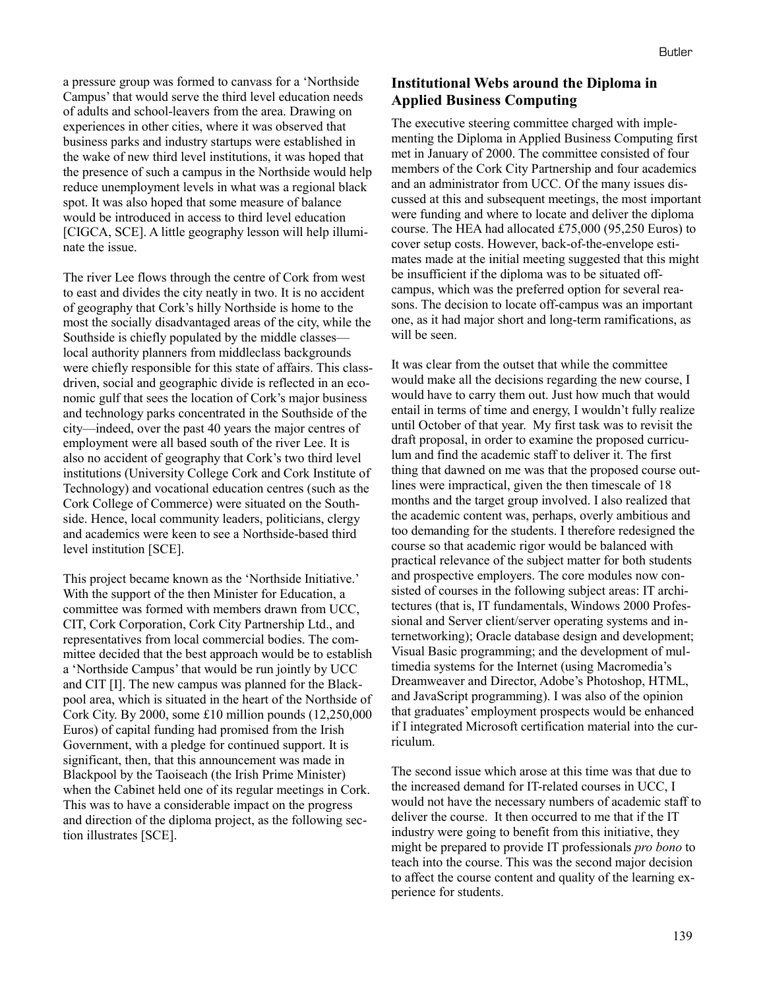a pressure group was formed to canvass for a 'Northside Campus' that would serve the third level education needs of adults and school-leavers from the area. Drawing on experiences in other cities, where it was observed that business parks and industry startups were established in the wake of new third level institutions, it was hoped that the presence of such a campus in the Northside would help reduce unemployment levels in what was a regional black spot. It was also hoped that some measure of balance would be introduced in access to third level education [CIGCA, SCE]. A little geography lesson will help illuminate the issue.

The river Lee flows through the centre of Cork from west to east and divides the city neatly in two. It is no accident of geography that Cork's hilly Northside is home to the most the socially disadvantaged areas of the city, while the Southside is chiefly populated by the middle classes local authority planners from middleclass backgrounds were chiefly responsible for this state of affairs. This classdriven, social and geographic divide is reflected in an economic gulf that sees the location of Cork's major business and technology parks concentrated in the Southside of the city—indeed, over the past 40 years the major centres of employment were all based south of the river Lee. It is also no accident of geography that Cork's two third level institutions (University College Cork and Cork Institute of Technology) and vocational education centres (such as the Cork College of Commerce) were situated on the Southside. Hence, local community leaders, politicians, clergy and academics were keen to see a Northside-based third level institution [SCE].

This project became known as the 'Northside Initiative.' With the support of the then Minister for Education, a committee was formed with members drawn from UCC, CIT, Cork Corporation, Cork City Partnership Ltd., and representatives from local commercial bodies. The committee decided that the best approach would be to establish a 'Northside Campus' that would be run jointly by UCC and CIT [I]. The new campus was planned for the Blackpool area, which is situated in the heart of the Northside of Cork City. By 2000, some £10 million pounds (12,250,000 Euros) of capital funding had promised from the Irish Government, with a pledge for continued support. It is significant, then, that this announcement was made in Blackpool by the Taoiseach (the Irish Prime Minister) when the Cabinet held one of its regular meetings in Cork. This was to have a considerable impact on the progress and direction of the diploma project, as the following section illustrates [SCE].

#### **Institutional Webs around the Diploma in Applied Business Computing**

The executive steering committee charged with implementing the Diploma in Applied Business Computing first met in January of 2000. The committee consisted of four members of the Cork City Partnership and four academics and an administrator from UCC. Of the many issues discussed at this and subsequent meetings, the most important were funding and where to locate and deliver the diploma course. The HEA had allocated £75,000 (95,250 Euros) to cover setup costs. However, back-of-the-envelope estimates made at the initial meeting suggested that this might be insufficient if the diploma was to be situated offcampus, which was the preferred option for several reasons. The decision to locate off-campus was an important one, as it had major short and long-term ramifications, as will be seen.

It was clear from the outset that while the committee would make all the decisions regarding the new course, I would have to carry them out. Just how much that would entail in terms of time and energy, I wouldn't fully realize until October of that year. My first task was to revisit the draft proposal, in order to examine the proposed curriculum and find the academic staff to deliver it. The first thing that dawned on me was that the proposed course outlines were impractical, given the then timescale of 18 months and the target group involved. I also realized that the academic content was, perhaps, overly ambitious and too demanding for the students. I therefore redesigned the course so that academic rigor would be balanced with practical relevance of the subject matter for both students and prospective employers. The core modules now consisted of courses in the following subject areas: IT architectures (that is, IT fundamentals, Windows 2000 Professional and Server client/server operating systems and internetworking); Oracle database design and development; Visual Basic programming; and the development of multimedia systems for the Internet (using Macromedia's Dreamweaver and Director, Adobe's Photoshop, HTML, and JavaScript programming). I was also of the opinion that graduates' employment prospects would be enhanced if I integrated Microsoft certification material into the curriculum.

The second issue which arose at this time was that due to the increased demand for IT-related courses in UCC, I would not have the necessary numbers of academic staff to deliver the course. It then occurred to me that if the IT industry were going to benefit from this initiative, they might be prepared to provide IT professionals *pro bono* to teach into the course. This was the second major decision to affect the course content and quality of the learning experience for students.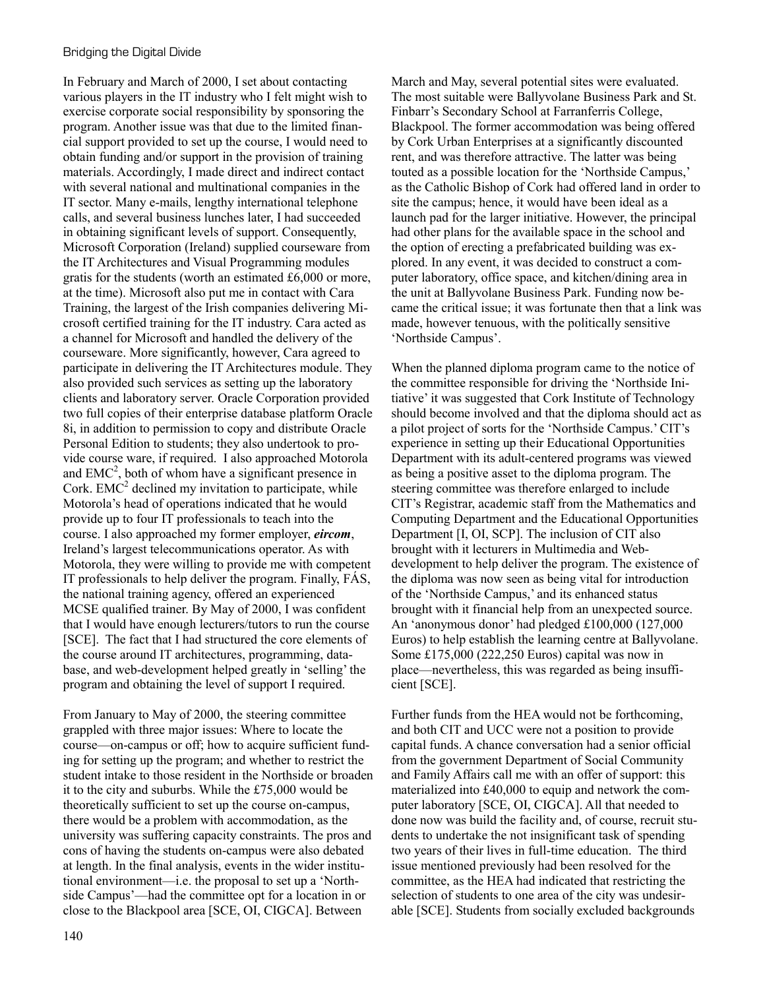In February and March of 2000, I set about contacting various players in the IT industry who I felt might wish to exercise corporate social responsibility by sponsoring the program. Another issue was that due to the limited financial support provided to set up the course, I would need to obtain funding and/or support in the provision of training materials. Accordingly, I made direct and indirect contact with several national and multinational companies in the IT sector. Many e-mails, lengthy international telephone calls, and several business lunches later, I had succeeded in obtaining significant levels of support. Consequently, Microsoft Corporation (Ireland) supplied courseware from the IT Architectures and Visual Programming modules gratis for the students (worth an estimated £6,000 or more, at the time). Microsoft also put me in contact with Cara Training, the largest of the Irish companies delivering Microsoft certified training for the IT industry. Cara acted as a channel for Microsoft and handled the delivery of the courseware. More significantly, however, Cara agreed to participate in delivering the IT Architectures module. They also provided such services as setting up the laboratory clients and laboratory server. Oracle Corporation provided two full copies of their enterprise database platform Oracle 8i, in addition to permission to copy and distribute Oracle Personal Edition to students; they also undertook to provide course ware, if required. I also approached Motorola and  $EMC<sup>2</sup>$ , both of whom have a significant presence in Cork.  $EMC<sup>2</sup>$  declined my invitation to participate, while Motorola's head of operations indicated that he would provide up to four IT professionals to teach into the course. I also approached my former employer, *eircom*, Ireland's largest telecommunications operator. As with Motorola, they were willing to provide me with competent IT professionals to help deliver the program. Finally, FÁS, the national training agency, offered an experienced MCSE qualified trainer. By May of 2000, I was confident that I would have enough lecturers/tutors to run the course [SCE]. The fact that I had structured the core elements of the course around IT architectures, programming, database, and web-development helped greatly in 'selling' the program and obtaining the level of support I required.

From January to May of 2000, the steering committee grappled with three major issues: Where to locate the course—on-campus or off; how to acquire sufficient funding for setting up the program; and whether to restrict the student intake to those resident in the Northside or broaden it to the city and suburbs. While the £75,000 would be theoretically sufficient to set up the course on-campus, there would be a problem with accommodation, as the university was suffering capacity constraints. The pros and cons of having the students on-campus were also debated at length. In the final analysis, events in the wider institutional environment—i.e. the proposal to set up a 'Northside Campus'—had the committee opt for a location in or close to the Blackpool area [SCE, OI, CIGCA]. Between

March and May, several potential sites were evaluated. The most suitable were Ballyvolane Business Park and St. Finbarr's Secondary School at Farranferris College, Blackpool. The former accommodation was being offered by Cork Urban Enterprises at a significantly discounted rent, and was therefore attractive. The latter was being touted as a possible location for the 'Northside Campus,' as the Catholic Bishop of Cork had offered land in order to site the campus; hence, it would have been ideal as a launch pad for the larger initiative. However, the principal had other plans for the available space in the school and the option of erecting a prefabricated building was explored. In any event, it was decided to construct a computer laboratory, office space, and kitchen/dining area in the unit at Ballyvolane Business Park. Funding now became the critical issue; it was fortunate then that a link was made, however tenuous, with the politically sensitive 'Northside Campus'.

When the planned diploma program came to the notice of the committee responsible for driving the 'Northside Initiative' it was suggested that Cork Institute of Technology should become involved and that the diploma should act as a pilot project of sorts for the 'Northside Campus.' CIT's experience in setting up their Educational Opportunities Department with its adult-centered programs was viewed as being a positive asset to the diploma program. The steering committee was therefore enlarged to include CIT's Registrar, academic staff from the Mathematics and Computing Department and the Educational Opportunities Department [I, OI, SCP]. The inclusion of CIT also brought with it lecturers in Multimedia and Webdevelopment to help deliver the program. The existence of the diploma was now seen as being vital for introduction of the 'Northside Campus,' and its enhanced status brought with it financial help from an unexpected source. An 'anonymous donor' had pledged £100,000 (127,000 Euros) to help establish the learning centre at Ballyvolane. Some £175,000 (222,250 Euros) capital was now in place—nevertheless, this was regarded as being insufficient [SCE].

Further funds from the HEA would not be forthcoming, and both CIT and UCC were not a position to provide capital funds. A chance conversation had a senior official from the government Department of Social Community and Family Affairs call me with an offer of support: this materialized into £40,000 to equip and network the computer laboratory [SCE, OI, CIGCA]. All that needed to done now was build the facility and, of course, recruit students to undertake the not insignificant task of spending two years of their lives in full-time education. The third issue mentioned previously had been resolved for the committee, as the HEA had indicated that restricting the selection of students to one area of the city was undesirable [SCE]. Students from socially excluded backgrounds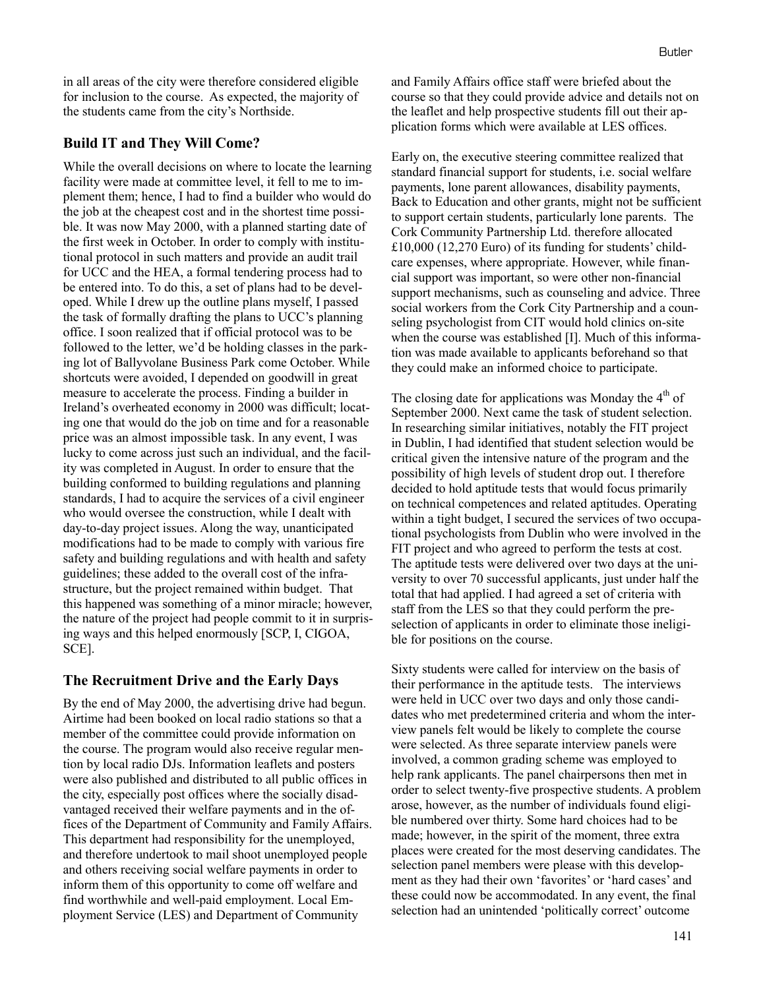in all areas of the city were therefore considered eligible for inclusion to the course. As expected, the majority of the students came from the city's Northside.

#### **Build IT and They Will Come?**

While the overall decisions on where to locate the learning facility were made at committee level, it fell to me to implement them; hence, I had to find a builder who would do the job at the cheapest cost and in the shortest time possible. It was now May 2000, with a planned starting date of the first week in October. In order to comply with institutional protocol in such matters and provide an audit trail for UCC and the HEA, a formal tendering process had to be entered into. To do this, a set of plans had to be developed. While I drew up the outline plans myself, I passed the task of formally drafting the plans to UCC's planning office. I soon realized that if official protocol was to be followed to the letter, we'd be holding classes in the parking lot of Ballyvolane Business Park come October. While shortcuts were avoided, I depended on goodwill in great measure to accelerate the process. Finding a builder in Ireland's overheated economy in 2000 was difficult; locating one that would do the job on time and for a reasonable price was an almost impossible task. In any event, I was lucky to come across just such an individual, and the facility was completed in August. In order to ensure that the building conformed to building regulations and planning standards, I had to acquire the services of a civil engineer who would oversee the construction, while I dealt with day-to-day project issues. Along the way, unanticipated modifications had to be made to comply with various fire safety and building regulations and with health and safety guidelines; these added to the overall cost of the infrastructure, but the project remained within budget. That this happened was something of a minor miracle; however, the nature of the project had people commit to it in surprising ways and this helped enormously [SCP, I, CIGOA, SCE].

#### **The Recruitment Drive and the Early Days**

By the end of May 2000, the advertising drive had begun. Airtime had been booked on local radio stations so that a member of the committee could provide information on the course. The program would also receive regular mention by local radio DJs. Information leaflets and posters were also published and distributed to all public offices in the city, especially post offices where the socially disadvantaged received their welfare payments and in the offices of the Department of Community and Family Affairs. This department had responsibility for the unemployed, and therefore undertook to mail shoot unemployed people and others receiving social welfare payments in order to inform them of this opportunity to come off welfare and find worthwhile and well-paid employment. Local Employment Service (LES) and Department of Community

and Family Affairs office staff were briefed about the course so that they could provide advice and details not on the leaflet and help prospective students fill out their application forms which were available at LES offices.

Early on, the executive steering committee realized that standard financial support for students, i.e. social welfare payments, lone parent allowances, disability payments, Back to Education and other grants, might not be sufficient to support certain students, particularly lone parents. The Cork Community Partnership Ltd. therefore allocated £10,000 (12,270 Euro) of its funding for students' childcare expenses, where appropriate. However, while financial support was important, so were other non-financial support mechanisms, such as counseling and advice. Three social workers from the Cork City Partnership and a counseling psychologist from CIT would hold clinics on-site when the course was established [I]. Much of this information was made available to applicants beforehand so that they could make an informed choice to participate.

The closing date for applications was Monday the  $4<sup>th</sup>$  of September 2000. Next came the task of student selection. In researching similar initiatives, notably the FIT project in Dublin, I had identified that student selection would be critical given the intensive nature of the program and the possibility of high levels of student drop out. I therefore decided to hold aptitude tests that would focus primarily on technical competences and related aptitudes. Operating within a tight budget, I secured the services of two occupational psychologists from Dublin who were involved in the FIT project and who agreed to perform the tests at cost. The aptitude tests were delivered over two days at the university to over 70 successful applicants, just under half the total that had applied. I had agreed a set of criteria with staff from the LES so that they could perform the preselection of applicants in order to eliminate those ineligible for positions on the course.

Sixty students were called for interview on the basis of their performance in the aptitude tests. The interviews were held in UCC over two days and only those candidates who met predetermined criteria and whom the interview panels felt would be likely to complete the course were selected. As three separate interview panels were involved, a common grading scheme was employed to help rank applicants. The panel chairpersons then met in order to select twenty-five prospective students. A problem arose, however, as the number of individuals found eligible numbered over thirty. Some hard choices had to be made; however, in the spirit of the moment, three extra places were created for the most deserving candidates. The selection panel members were please with this development as they had their own 'favorites' or 'hard cases' and these could now be accommodated. In any event, the final selection had an unintended 'politically correct' outcome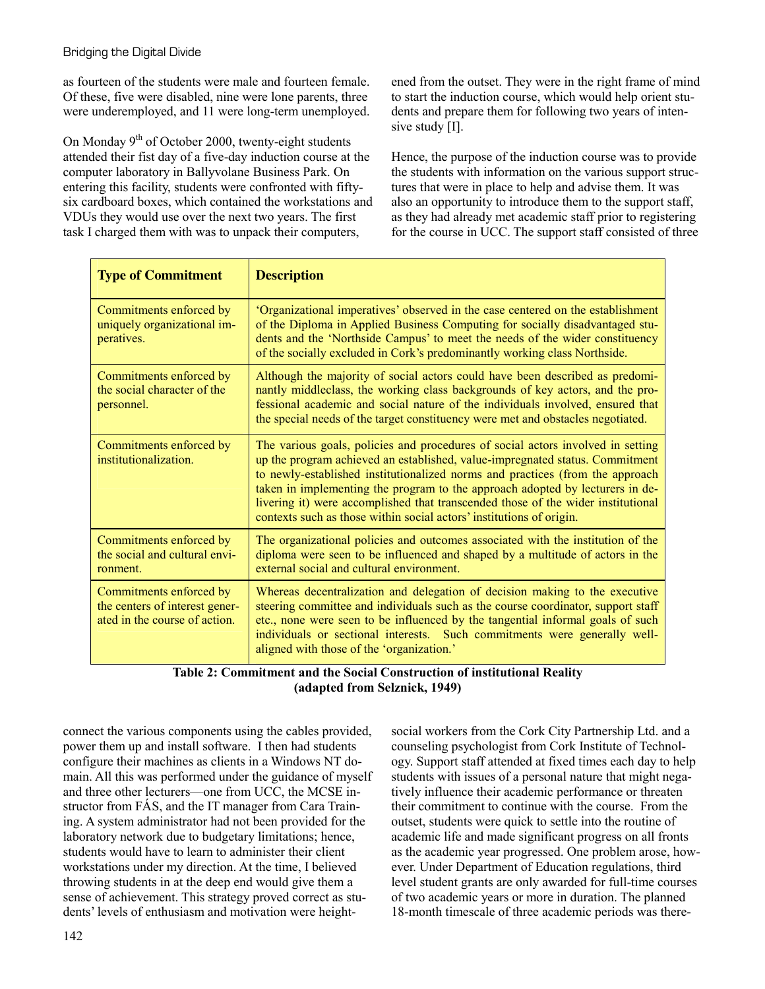as fourteen of the students were male and fourteen female. Of these, five were disabled, nine were lone parents, three were underemployed, and 11 were long-term unemployed.

On Monday  $9<sup>th</sup>$  of October 2000, twenty-eight students attended their fist day of a five-day induction course at the computer laboratory in Ballyvolane Business Park. On entering this facility, students were confronted with fiftysix cardboard boxes, which contained the workstations and VDUs they would use over the next two years. The first task I charged them with was to unpack their computers,

ened from the outset. They were in the right frame of mind to start the induction course, which would help orient students and prepare them for following two years of intensive study [I].

Hence, the purpose of the induction course was to provide the students with information on the various support structures that were in place to help and advise them. It was also an opportunity to introduce them to the support staff, as they had already met academic staff prior to registering for the course in UCC. The support staff consisted of three

| <b>Type of Commitment</b>                                                                  | <b>Description</b>                                                                                                                                                                                                                                                                                                                                                                                                                                                                            |
|--------------------------------------------------------------------------------------------|-----------------------------------------------------------------------------------------------------------------------------------------------------------------------------------------------------------------------------------------------------------------------------------------------------------------------------------------------------------------------------------------------------------------------------------------------------------------------------------------------|
| Commitments enforced by<br>uniquely organizational im-<br>peratives.                       | 'Organizational imperatives' observed in the case centered on the establishment<br>of the Diploma in Applied Business Computing for socially disadvantaged stu-<br>dents and the 'Northside Campus' to meet the needs of the wider constituency<br>of the socially excluded in Cork's predominantly working class Northside.                                                                                                                                                                  |
| Commitments enforced by<br>the social character of the<br>personnel.                       | Although the majority of social actors could have been described as predomi-<br>nantly middleclass, the working class backgrounds of key actors, and the pro-<br>fessional academic and social nature of the individuals involved, ensured that<br>the special needs of the target constituency were met and obstacles negotiated.                                                                                                                                                            |
| Commitments enforced by<br>institutionalization.                                           | The various goals, policies and procedures of social actors involved in setting<br>up the program achieved an established, value-impregnated status. Commitment<br>to newly-established institutionalized norms and practices (from the approach<br>taken in implementing the program to the approach adopted by lecturers in de-<br>livering it) were accomplished that transcended those of the wider institutional<br>contexts such as those within social actors' institutions of origin. |
| Commitments enforced by<br>the social and cultural envi-<br>ronment.                       | The organizational policies and outcomes associated with the institution of the<br>diploma were seen to be influenced and shaped by a multitude of actors in the<br>external social and cultural environment.                                                                                                                                                                                                                                                                                 |
| Commitments enforced by<br>the centers of interest gener-<br>ated in the course of action. | Whereas decentralization and delegation of decision making to the executive<br>steering committee and individuals such as the course coordinator, support staff<br>etc., none were seen to be influenced by the tangential informal goals of such<br>individuals or sectional interests. Such commitments were generally well-<br>aligned with those of the 'organization.'                                                                                                                   |

**Table 2: Commitment and the Social Construction of institutional Reality (adapted from Selznick, 1949)** 

connect the various components using the cables provided, power them up and install software. I then had students configure their machines as clients in a Windows NT domain. All this was performed under the guidance of myself and three other lecturers—one from UCC, the MCSE instructor from FÁS, and the IT manager from Cara Training. A system administrator had not been provided for the laboratory network due to budgetary limitations; hence, students would have to learn to administer their client workstations under my direction. At the time, I believed throwing students in at the deep end would give them a sense of achievement. This strategy proved correct as students' levels of enthusiasm and motivation were heightsocial workers from the Cork City Partnership Ltd. and a counseling psychologist from Cork Institute of Technology. Support staff attended at fixed times each day to help students with issues of a personal nature that might negatively influence their academic performance or threaten their commitment to continue with the course. From the outset, students were quick to settle into the routine of academic life and made significant progress on all fronts as the academic year progressed. One problem arose, however. Under Department of Education regulations, third level student grants are only awarded for full-time courses of two academic years or more in duration. The planned 18-month timescale of three academic periods was there-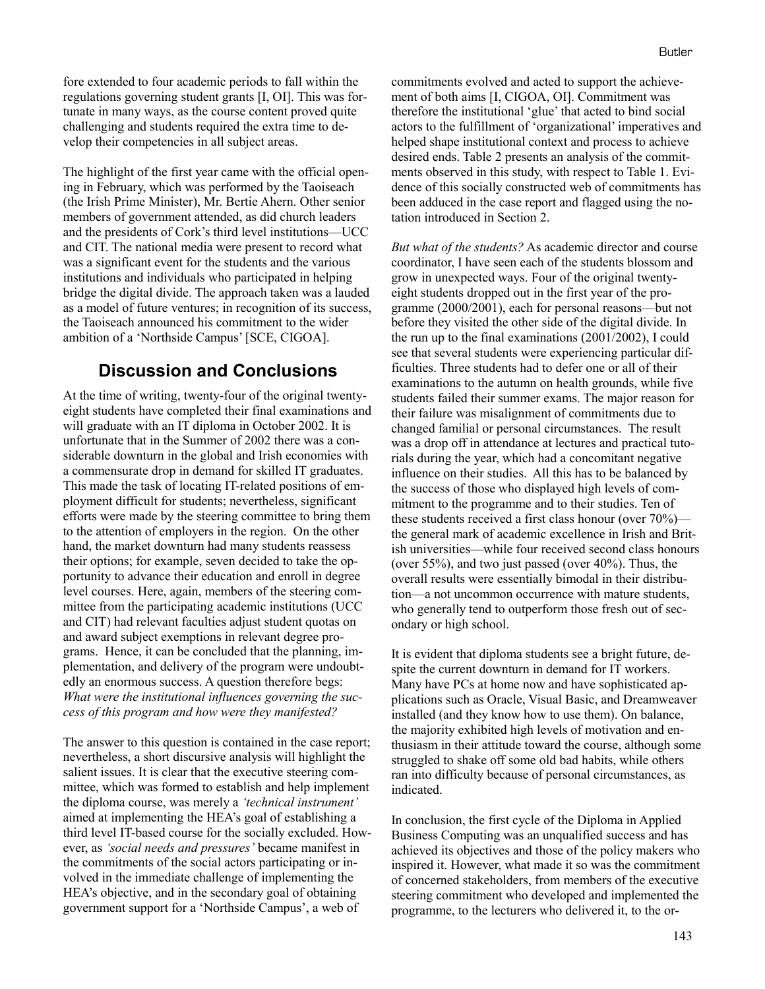fore extended to four academic periods to fall within the regulations governing student grants [I, OI]. This was fortunate in many ways, as the course content proved quite challenging and students required the extra time to develop their competencies in all subject areas.

The highlight of the first year came with the official opening in February, which was performed by the Taoiseach (the Irish Prime Minister), Mr. Bertie Ahern. Other senior members of government attended, as did church leaders and the presidents of Cork's third level institutions—UCC and CIT. The national media were present to record what was a significant event for the students and the various institutions and individuals who participated in helping bridge the digital divide. The approach taken was a lauded as a model of future ventures; in recognition of its success, the Taoiseach announced his commitment to the wider ambition of a 'Northside Campus' [SCE, CIGOA].

## **Discussion and Conclusions**

At the time of writing, twenty-four of the original twentyeight students have completed their final examinations and will graduate with an IT diploma in October 2002. It is unfortunate that in the Summer of 2002 there was a considerable downturn in the global and Irish economies with a commensurate drop in demand for skilled IT graduates. This made the task of locating IT-related positions of employment difficult for students; nevertheless, significant efforts were made by the steering committee to bring them to the attention of employers in the region. On the other hand, the market downturn had many students reassess their options; for example, seven decided to take the opportunity to advance their education and enroll in degree level courses. Here, again, members of the steering committee from the participating academic institutions (UCC and CIT) had relevant faculties adjust student quotas on and award subject exemptions in relevant degree programs. Hence, it can be concluded that the planning, implementation, and delivery of the program were undoubtedly an enormous success. A question therefore begs: *What were the institutional influences governing the success of this program and how were they manifested?*

The answer to this question is contained in the case report; nevertheless, a short discursive analysis will highlight the salient issues. It is clear that the executive steering committee, which was formed to establish and help implement the diploma course, was merely a *'technical instrument'* aimed at implementing the HEA's goal of establishing a third level IT-based course for the socially excluded. However, as *'social needs and pressures'* became manifest in the commitments of the social actors participating or involved in the immediate challenge of implementing the HEA's objective, and in the secondary goal of obtaining government support for a 'Northside Campus', a web of

commitments evolved and acted to support the achievement of both aims [I, CIGOA, OI]. Commitment was therefore the institutional 'glue' that acted to bind social actors to the fulfillment of 'organizational' imperatives and helped shape institutional context and process to achieve desired ends. Table 2 presents an analysis of the commitments observed in this study, with respect to Table 1. Evidence of this socially constructed web of commitments has been adduced in the case report and flagged using the notation introduced in Section 2.

*But what of the students?* As academic director and course coordinator, I have seen each of the students blossom and grow in unexpected ways. Four of the original twentyeight students dropped out in the first year of the programme (2000/2001), each for personal reasons—but not before they visited the other side of the digital divide. In the run up to the final examinations (2001/2002), I could see that several students were experiencing particular difficulties. Three students had to defer one or all of their examinations to the autumn on health grounds, while five students failed their summer exams. The major reason for their failure was misalignment of commitments due to changed familial or personal circumstances. The result was a drop off in attendance at lectures and practical tutorials during the year, which had a concomitant negative influence on their studies. All this has to be balanced by the success of those who displayed high levels of commitment to the programme and to their studies. Ten of these students received a first class honour (over 70%) the general mark of academic excellence in Irish and British universities—while four received second class honours (over 55%), and two just passed (over 40%). Thus, the overall results were essentially bimodal in their distribution—a not uncommon occurrence with mature students, who generally tend to outperform those fresh out of secondary or high school.

It is evident that diploma students see a bright future, despite the current downturn in demand for IT workers. Many have PCs at home now and have sophisticated applications such as Oracle, Visual Basic, and Dreamweaver installed (and they know how to use them). On balance, the majority exhibited high levels of motivation and enthusiasm in their attitude toward the course, although some struggled to shake off some old bad habits, while others ran into difficulty because of personal circumstances, as indicated.

In conclusion, the first cycle of the Diploma in Applied Business Computing was an unqualified success and has achieved its objectives and those of the policy makers who inspired it. However, what made it so was the commitment of concerned stakeholders, from members of the executive steering commitment who developed and implemented the programme, to the lecturers who delivered it, to the or